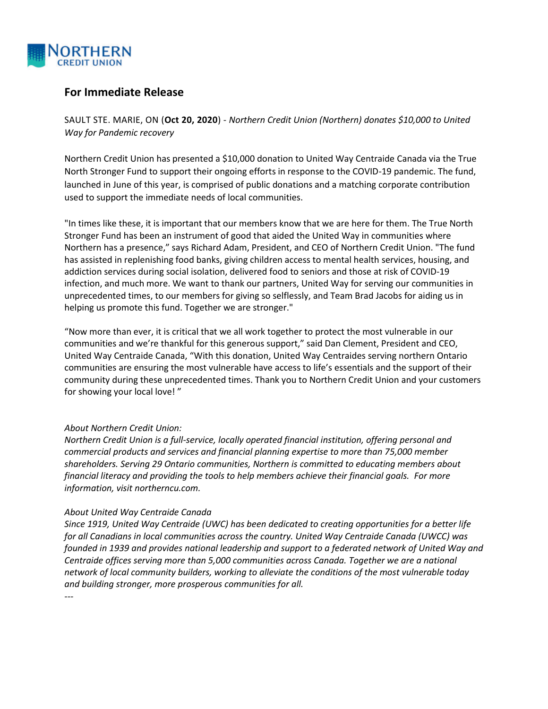

## **For Immediate Release**

SAULT STE. MARIE, ON (**Oct 20, 2020**) - *Northern Credit Union (Northern) donates \$10,000 to United Way for Pandemic recovery*

Northern Credit Union has presented a \$10,000 donation to United Way Centraide Canada via the True North Stronger Fund to support their ongoing efforts in response to the COVID-19 pandemic. The fund, launched in June of this year, is comprised of public donations and a matching corporate contribution used to support the immediate needs of local communities.

"In times like these, it is important that our members know that we are here for them. The True North Stronger Fund has been an instrument of good that aided the United Way in communities where Northern has a presence," says Richard Adam, President, and CEO of Northern Credit Union. "The fund has assisted in replenishing food banks, giving children access to mental health services, housing, and addiction services during social isolation, delivered food to seniors and those at risk of COVID-19 infection, and much more. We want to thank our partners, United Way for serving our communities in unprecedented times, to our members for giving so selflessly, and Team Brad Jacobs for aiding us in helping us promote this fund. Together we are stronger."

"Now more than ever, it is critical that we all work together to protect the most vulnerable in our communities and we're thankful for this generous support," said Dan Clement, President and CEO, United Way Centraide Canada, "With this donation, United Way Centraides serving northern Ontario communities are ensuring the most vulnerable have access to life's essentials and the support of their community during these unprecedented times. Thank you to Northern Credit Union and your customers for showing your local love! "

## *About Northern Credit Union:*

*Northern Credit Union is a full-service, locally operated financial institution, offering personal and commercial products and services and financial planning expertise to more than 75,000 member shareholders. Serving 29 Ontario communities, Northern is committed to educating members about financial literacy and providing the tools to help members achieve their financial goals. For more information, visit northerncu.com.*

## *About United Way Centraide Canada*

*Since 1919, United Way Centraide (UWC) has been dedicated to creating opportunities for a better life for all Canadians in local communities across the country. United Way Centraide Canada (UWCC) was founded in 1939 and provides national leadership and support to a federated network of United Way and Centraide offices serving more than 5,000 communities across Canada. Together we are a national network of local community builders, working to alleviate the conditions of the most vulnerable today and building stronger, more prosperous communities for all.*

*---*